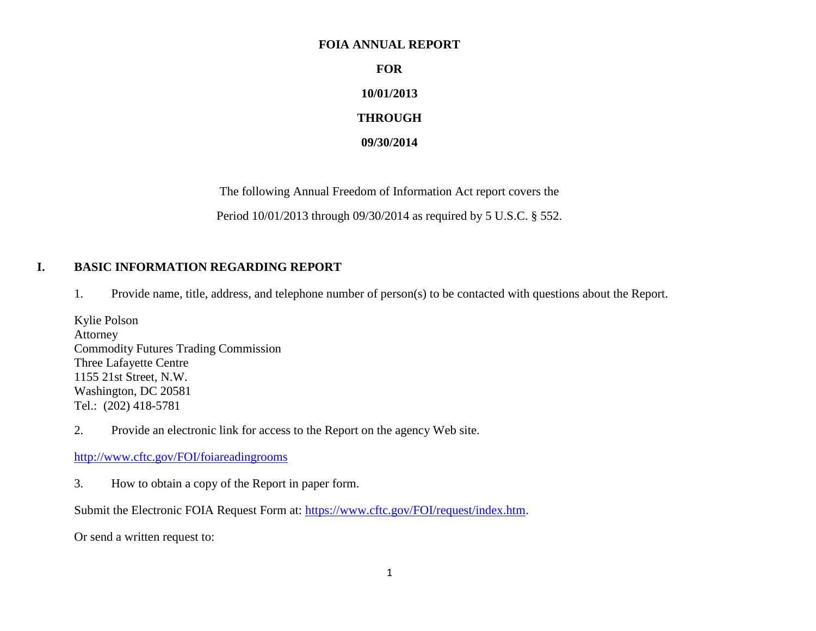#### **FOIA ANNUAL REPORT**

**FOR**

# **10/01/2013**

## **THROUGH**

#### **09/30/2014**

The following Annual Freedom of Information Act report covers the

Period 10/01/2013 through 09/30/2014 as required by 5 U.S.C. § 552.

# **I. BASIC INFORMATION REGARDING REPORT**

1. Provide name, title, address, and telephone number of person(s) to be contacted with questions about the Report.

Kylie Polson Attorney Commodity Futures Trading Commission Three Lafayette Centre 1155 21st Street, N.W. Washington, DC 20581 Tel.: (202) 418-5781

2. Provide an electronic link for access to the Report on the agency Web site.

<http://www.cftc.gov/FOI/foiareadingrooms>

3. How to obtain a copy of the Report in paper form.

Submit the Electronic FOIA Request Form at: [https://www.cftc.gov/FOI/request/index.htm.](https://www.cftc.gov/FOI/request/index.htm)

Or send a written request to: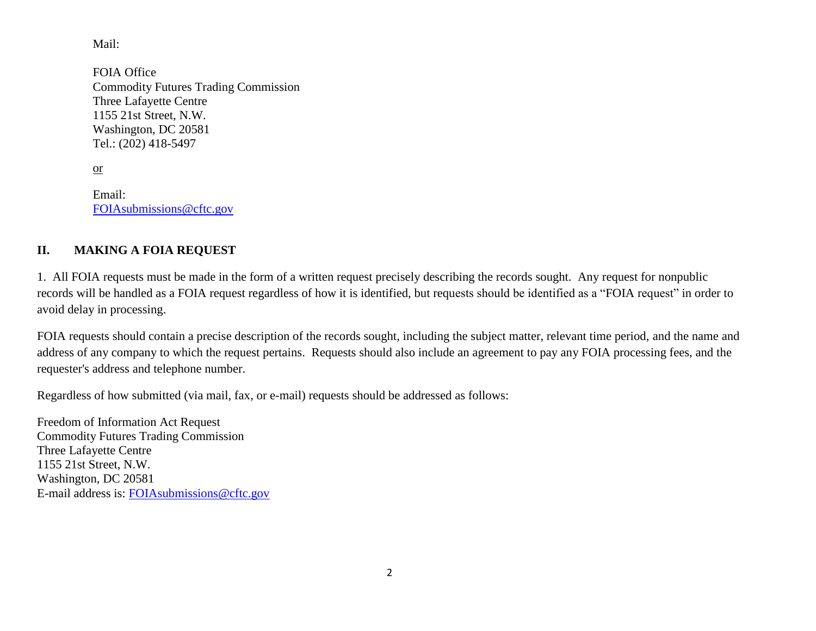Mail:

FOIA Office Commodity Futures Trading Commission Three Lafayette Centre 1155 21st Street, N.W. Washington, DC 20581 Tel.: (202) 418-5497

or

Email: [FOIAsubmissions@cftc.gov](mailto:FOIAsubmissions@cftc.gov)

# **II. MAKING A FOIA REQUEST**

1. All FOIA requests must be made in the form of a written request precisely describing the records sought. Any request for nonpublic records will be handled as a FOIA request regardless of how it is identified, but requests should be identified as a "FOIA request" in order to avoid delay in processing.

FOIA requests should contain a precise description of the records sought, including the subject matter, relevant time period, and the name and address of any company to which the request pertains. Requests should also include an agreement to pay any FOIA processing fees, and the requester's address and telephone number.

Regardless of how submitted (via mail, fax, or e-mail) requests should be addressed as follows:

Freedom of Information Act Request Commodity Futures Trading Commission Three Lafayette Centre 1155 21st Street, N.W. Washington, DC 20581 E-mail address is: [FOIAsubmissions@cftc.gov](mailto:FOIAsubmissions@cftc.gov)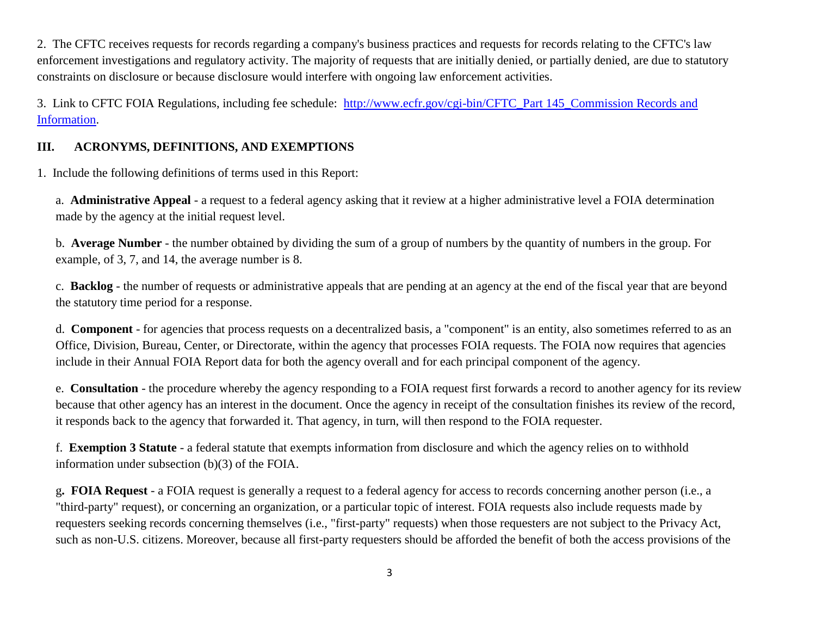2. The CFTC receives requests for records regarding a company's business practices and requests for records relating to the CFTC's law enforcement investigations and regulatory activity. The majority of requests that are initially denied, or partially denied, are due to statutory constraints on disclosure or because disclosure would interfere with ongoing law enforcement activities.

3. Link to CFTC FOIA Regulations, including fee schedule: [http://www.ecfr.gov/cgi-bin/CFTC\\_Part 145\\_Commission Records and](http://www.ecfr.gov/cgi-bin/text-idx?SID=919c51819fb49ae50a19f4a86cd8ba0c&tpl=/ecfrbrowse/Title17/17cfr145_main_02.tpl)  [Information.](http://www.ecfr.gov/cgi-bin/text-idx?SID=919c51819fb49ae50a19f4a86cd8ba0c&tpl=/ecfrbrowse/Title17/17cfr145_main_02.tpl)

## **III. ACRONYMS, DEFINITIONS, AND EXEMPTIONS**

1. Include the following definitions of terms used in this Report:

a. **Administrative Appeal** - a request to a federal agency asking that it review at a higher administrative level a FOIA determination made by the agency at the initial request level.

b. **Average Number** - the number obtained by dividing the sum of a group of numbers by the quantity of numbers in the group. For example, of 3, 7, and 14, the average number is 8.

c. **Backlog** - the number of requests or administrative appeals that are pending at an agency at the end of the fiscal year that are beyond the statutory time period for a response.

d. **Component** - for agencies that process requests on a decentralized basis, a "component" is an entity, also sometimes referred to as an Office, Division, Bureau, Center, or Directorate, within the agency that processes FOIA requests. The FOIA now requires that agencies include in their Annual FOIA Report data for both the agency overall and for each principal component of the agency.

e. **Consultation** - the procedure whereby the agency responding to a FOIA request first forwards a record to another agency for its review because that other agency has an interest in the document. Once the agency in receipt of the consultation finishes its review of the record, it responds back to the agency that forwarded it. That agency, in turn, will then respond to the FOIA requester.

f. **Exemption 3 Statute** - a federal statute that exempts information from disclosure and which the agency relies on to withhold information under subsection (b)(3) of the FOIA.

g**. FOIA Request** - a FOIA request is generally a request to a federal agency for access to records concerning another person (i.e., a "third-party" request), or concerning an organization, or a particular topic of interest. FOIA requests also include requests made by requesters seeking records concerning themselves (i.e., "first-party" requests) when those requesters are not subject to the Privacy Act, such as non-U.S. citizens. Moreover, because all first-party requesters should be afforded the benefit of both the access provisions of the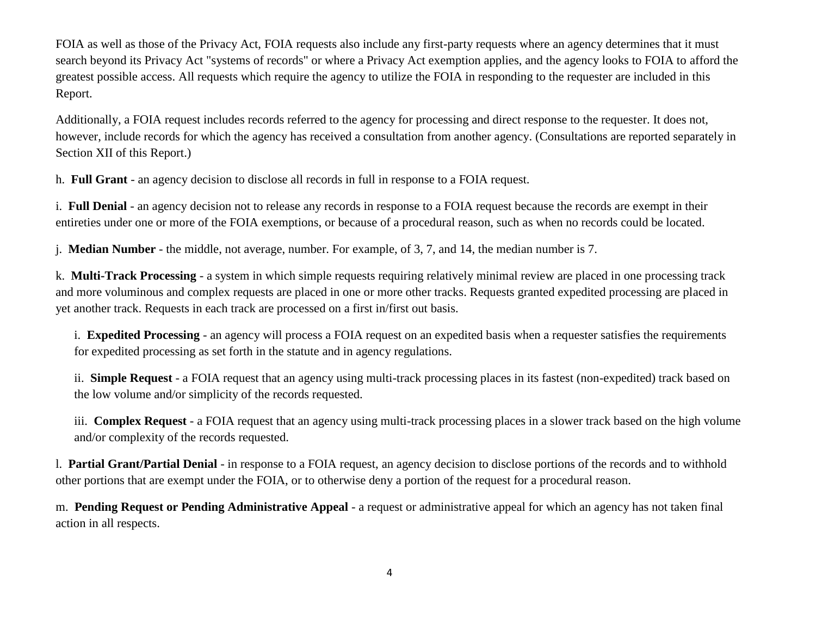FOIA as well as those of the Privacy Act, FOIA requests also include any first-party requests where an agency determines that it must search beyond its Privacy Act "systems of records" or where a Privacy Act exemption applies, and the agency looks to FOIA to afford the greatest possible access. All requests which require the agency to utilize the FOIA in responding to the requester are included in this Report.

Additionally, a FOIA request includes records referred to the agency for processing and direct response to the requester. It does not, however, include records for which the agency has received a consultation from another agency. (Consultations are reported separately in Section XII of this Report.)

h. **Full Grant** - an agency decision to disclose all records in full in response to a FOIA request.

i. **Full Denial** - an agency decision not to release any records in response to a FOIA request because the records are exempt in their entireties under one or more of the FOIA exemptions, or because of a procedural reason, such as when no records could be located.

j. **Median Number** - the middle, not average, number. For example, of 3, 7, and 14, the median number is 7.

k. **Multi-Track Processing** - a system in which simple requests requiring relatively minimal review are placed in one processing track and more voluminous and complex requests are placed in one or more other tracks. Requests granted expedited processing are placed in yet another track. Requests in each track are processed on a first in/first out basis.

i. **Expedited Processing** - an agency will process a FOIA request on an expedited basis when a requester satisfies the requirements for expedited processing as set forth in the statute and in agency regulations.

ii. **Simple Request** - a FOIA request that an agency using multi-track processing places in its fastest (non-expedited) track based on the low volume and/or simplicity of the records requested.

iii. **Complex Request** - a FOIA request that an agency using multi-track processing places in a slower track based on the high volume and/or complexity of the records requested.

l. **Partial Grant/Partial Denial** - in response to a FOIA request, an agency decision to disclose portions of the records and to withhold other portions that are exempt under the FOIA, or to otherwise deny a portion of the request for a procedural reason.

m. **Pending Request or Pending Administrative Appeal** - a request or administrative appeal for which an agency has not taken final action in all respects.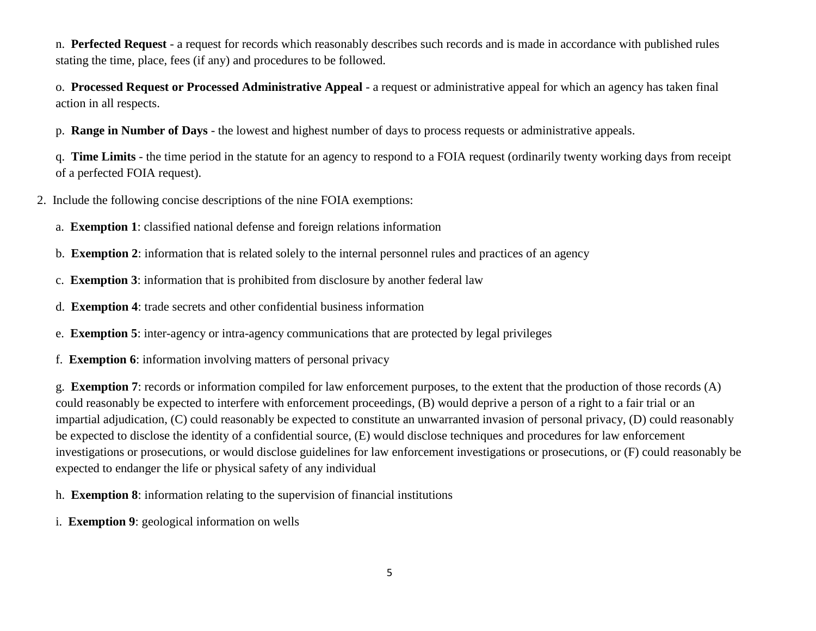n. **Perfected Request** - a request for records which reasonably describes such records and is made in accordance with published rules stating the time, place, fees (if any) and procedures to be followed.

o. **Processed Request or Processed Administrative Appeal** - a request or administrative appeal for which an agency has taken final action in all respects.

p. **Range in Number of Days** - the lowest and highest number of days to process requests or administrative appeals.

q. **Time Limits** - the time period in the statute for an agency to respond to a FOIA request (ordinarily twenty working days from receipt of a perfected FOIA request).

- 2. Include the following concise descriptions of the nine FOIA exemptions:
	- a. **Exemption 1**: classified national defense and foreign relations information
	- b. **Exemption 2**: information that is related solely to the internal personnel rules and practices of an agency
	- c. **Exemption 3**: information that is prohibited from disclosure by another federal law
	- d. **Exemption 4**: trade secrets and other confidential business information
	- e. **Exemption 5**: inter-agency or intra-agency communications that are protected by legal privileges
	- f. **Exemption 6**: information involving matters of personal privacy

g. **Exemption 7**: records or information compiled for law enforcement purposes, to the extent that the production of those records (A) could reasonably be expected to interfere with enforcement proceedings, (B) would deprive a person of a right to a fair trial or an impartial adjudication, (C) could reasonably be expected to constitute an unwarranted invasion of personal privacy, (D) could reasonably be expected to disclose the identity of a confidential source, (E) would disclose techniques and procedures for law enforcement investigations or prosecutions, or would disclose guidelines for law enforcement investigations or prosecutions, or (F) could reasonably be expected to endanger the life or physical safety of any individual

- h. **Exemption 8**: information relating to the supervision of financial institutions
- i. **Exemption 9**: geological information on wells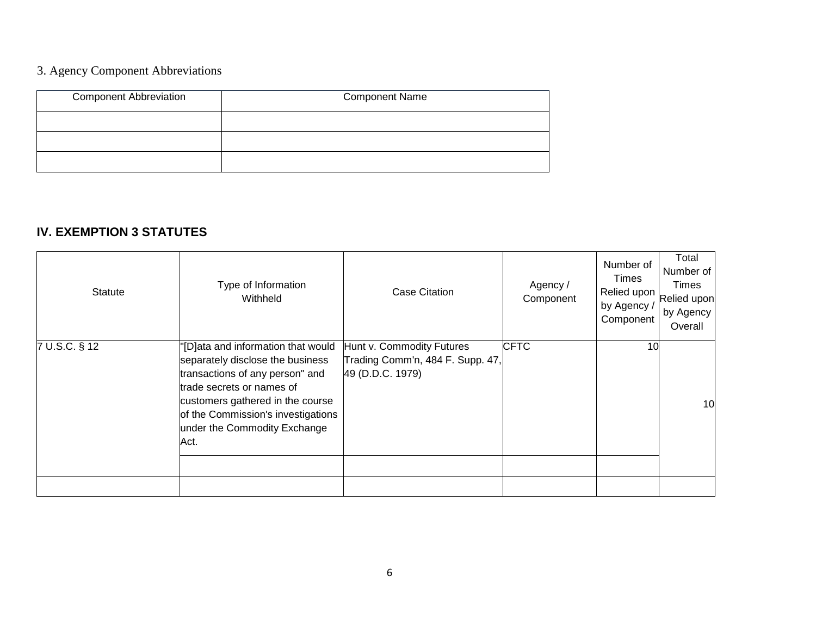# 3. Agency Component Abbreviations

| <b>Component Abbreviation</b> | <b>Component Name</b> |
|-------------------------------|-----------------------|
|                               |                       |
|                               |                       |
|                               |                       |

# **IV. EXEMPTION 3 STATUTES**

| Statute       | Type of Information<br>Withheld                                                                                                                                                                                                                          | <b>Case Citation</b>                                                              | Agency /<br>Component | Number of<br>Times<br>Relied upon<br>by Agency /<br>Component | Total<br>Number of<br>Times<br>Relied upon<br>by Agency<br>Overall |
|---------------|----------------------------------------------------------------------------------------------------------------------------------------------------------------------------------------------------------------------------------------------------------|-----------------------------------------------------------------------------------|-----------------------|---------------------------------------------------------------|--------------------------------------------------------------------|
| 7 U.S.C. § 12 | "[D]ata and information that would<br>separately disclose the business<br>transactions of any person" and<br>trade secrets or names of<br>customers gathered in the course<br>of the Commission's investigations<br>under the Commodity Exchange<br>Act. | Hunt v. Commodity Futures<br>Trading Comm'n, 484 F. Supp. 47,<br>49 (D.D.C. 1979) | <b>CFTC</b>           | 10                                                            | 10                                                                 |
|               |                                                                                                                                                                                                                                                          |                                                                                   |                       |                                                               |                                                                    |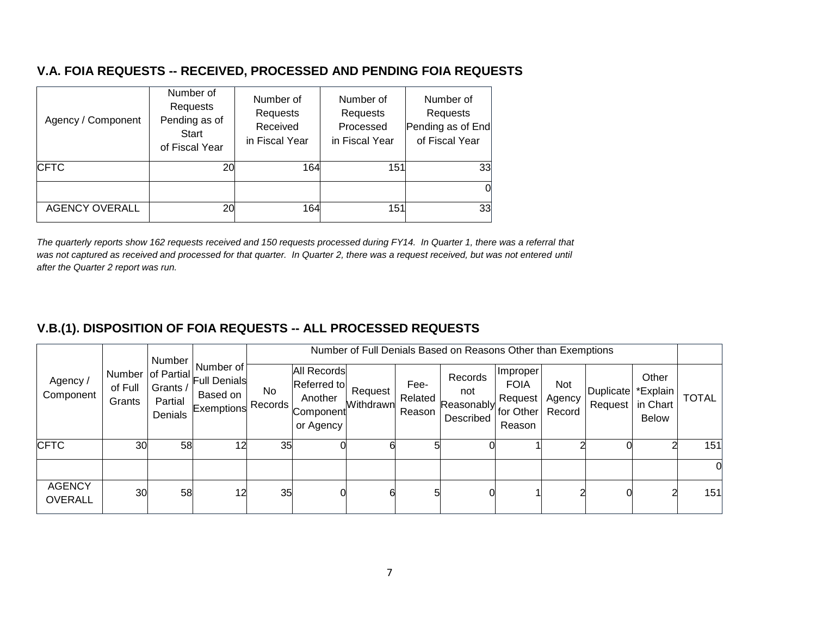# **V.A. FOIA REQUESTS -- RECEIVED, PROCESSED AND PENDING FOIA REQUESTS**

| Agency / Component    | Number of<br>Requests<br>Pending as of<br>Start<br>of Fiscal Year | Number of<br>Requests<br>Received<br>in Fiscal Year | Number of<br>Requests<br>Processed<br>in Fiscal Year | Number of<br>Requests<br>Pending as of End<br>of Fiscal Year |
|-----------------------|-------------------------------------------------------------------|-----------------------------------------------------|------------------------------------------------------|--------------------------------------------------------------|
| <b>CFTC</b>           | 20                                                                | 164                                                 | 151                                                  | 33                                                           |
|                       |                                                                   |                                                     |                                                      | 0                                                            |
| <b>AGENCY OVERALL</b> | 20                                                                | 164                                                 | 151                                                  | 33                                                           |

*The quarterly reports show 162 requests received and 150 requests processed during FY14. In Quarter 1, there was a referral that*  was not captured as received and processed for that quarter. In Quarter 2, there was a request received, but was not entered until *after the Quarter 2 report was run.* 

# **V.B.(1). DISPOSITION OF FOIA REQUESTS -- ALL PROCESSED REQUESTS**

|                                 |                   | Number                         |                                                                       |                      |                                                                 |                      |                           | Number of Full Denials Based on Reasons Other than Exemptions |                                              |                         |                                        |                                   |              |
|---------------------------------|-------------------|--------------------------------|-----------------------------------------------------------------------|----------------------|-----------------------------------------------------------------|----------------------|---------------------------|---------------------------------------------------------------|----------------------------------------------|-------------------------|----------------------------------------|-----------------------------------|--------------|
| Agency /<br>Component           | of Full<br>Grants | Grants /<br>Partial<br>Denials | Number of<br>Number of Partial Full Denials<br>Based on<br>Exemptions | <b>No</b><br>Records | All Records<br>Referred to<br>Another<br>Component<br>or Agency | Request<br>Withdrawn | Fee-<br>Related<br>Reason | Records<br>not<br>Reasonably for Other   "<br>Described       | Improper<br><b>FOIA</b><br>Request<br>Reason | Not<br>Agency<br>Record | <b>Duplicate</b><br>Request   in Chart | Other<br>*Explain<br><b>Below</b> | <b>TOTAL</b> |
| <b>CFTC</b>                     | 30                | 58                             | 12                                                                    | 35                   |                                                                 |                      |                           |                                                               |                                              |                         |                                        |                                   | 151          |
|                                 |                   |                                |                                                                       |                      |                                                                 |                      |                           |                                                               |                                              |                         |                                        |                                   |              |
| <b>AGENCY</b><br><b>OVERALL</b> | 30                | 58                             | 12                                                                    | 35                   |                                                                 | 6                    |                           |                                                               |                                              |                         |                                        |                                   | 151          |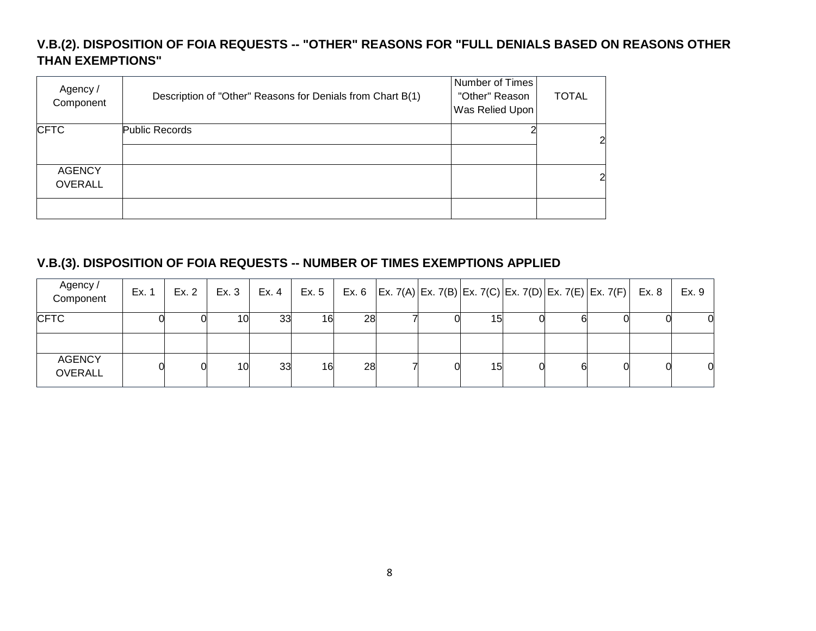# **V.B.(2). DISPOSITION OF FOIA REQUESTS -- "OTHER" REASONS FOR "FULL DENIALS BASED ON REASONS OTHER THAN EXEMPTIONS"**

| Agency /<br>Component           | Description of "Other" Reasons for Denials from Chart B(1) | Number of Times<br>"Other" Reason<br>Was Relied Upon | <b>TOTAL</b>   |
|---------------------------------|------------------------------------------------------------|------------------------------------------------------|----------------|
| <b>CFTC</b>                     | Public Records                                             |                                                      | $\overline{2}$ |
| <b>AGENCY</b><br><b>OVERALL</b> |                                                            |                                                      | $\overline{2}$ |
|                                 |                                                            |                                                      |                |

## **V.B.(3). DISPOSITION OF FOIA REQUESTS -- NUMBER OF TIMES EXEMPTIONS APPLIED**

| Agency /<br>Component           | Ex. 1 | Ex. 2 | Ex. 3 | Ex. 4 | Ex. 5 |    |   |     |   | Ex. 6 $ Ex. 7(A) Ex. 7(B) Ex. 7(C) Ex. 7(D) Ex. 7(E) Ex. 7(F)  Ex. 8$ | Ex. 9 |
|---------------------------------|-------|-------|-------|-------|-------|----|---|-----|---|-----------------------------------------------------------------------|-------|
| <b>CFTC</b>                     |       |       | 10.   | 33    | 16    | 28 |   | 151 |   |                                                                       |       |
| <b>AGENCY</b><br><b>OVERALL</b> |       |       | 10    | 33    | 16    | 28 | 0 | 15  | 6 |                                                                       | 0     |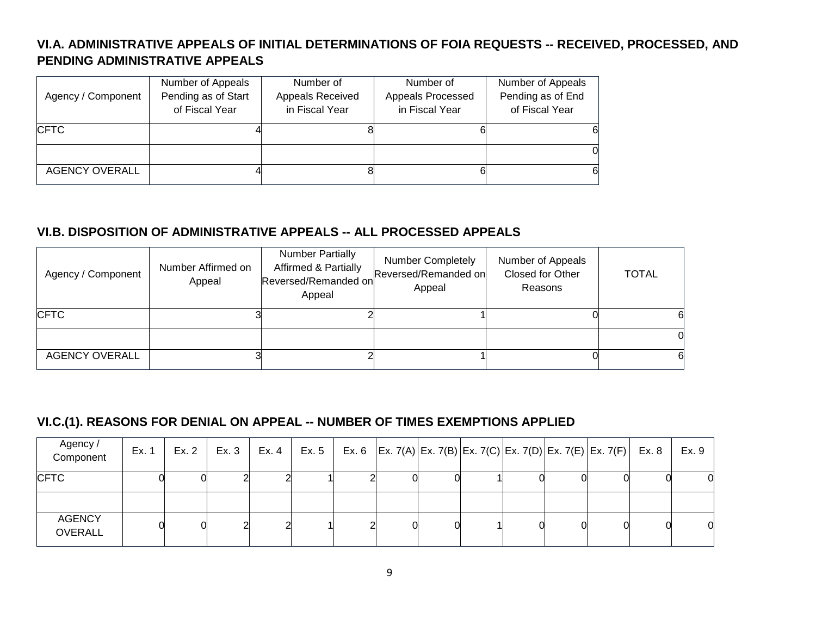# **VI.A. ADMINISTRATIVE APPEALS OF INITIAL DETERMINATIONS OF FOIA REQUESTS -- RECEIVED, PROCESSED, AND PENDING ADMINISTRATIVE APPEALS**

|                       | Number of Appeals   | Number of        | Number of         | Number of Appeals |
|-----------------------|---------------------|------------------|-------------------|-------------------|
| Agency / Component    | Pending as of Start | Appeals Received | Appeals Processed | Pending as of End |
|                       | of Fiscal Year      | in Fiscal Year   | in Fiscal Year    | of Fiscal Year    |
| <b>CFTC</b>           |                     |                  |                   | 61                |
|                       |                     |                  |                   |                   |
| <b>AGENCY OVERALL</b> |                     |                  |                   | 61                |

# **VI.B. DISPOSITION OF ADMINISTRATIVE APPEALS -- ALL PROCESSED APPEALS**

| Agency / Component    | Number Affirmed on<br>Appeal | <b>Number Partially</b><br>Affirmed & Partially<br>Reversed/Remanded on<br>Appeal | <b>Number Completely</b><br>Reversed/Remanded on<br>Appeal | Number of Appeals<br>Closed for Other<br>Reasons | <b>TOTAL</b> |
|-----------------------|------------------------------|-----------------------------------------------------------------------------------|------------------------------------------------------------|--------------------------------------------------|--------------|
| <b>CFTC</b>           |                              |                                                                                   |                                                            |                                                  |              |
|                       |                              |                                                                                   |                                                            |                                                  |              |
| <b>AGENCY OVERALL</b> |                              |                                                                                   |                                                            |                                                  |              |

# **VI.C.(1). REASONS FOR DENIAL ON APPEAL -- NUMBER OF TIMES EXEMPTIONS APPLIED**

| Agency /<br>Component           | Ex. 1 | Ex. 2 | Ex. 3 | Ex. 4 | Ex. 5 |  |  |  | Ex. 6   Ex. 7(A)   Ex. 7(B)   Ex. 7(C)   Ex. 7(D)   Ex. 7(E)   Ex. 7(F)   Ex. 8 | Ex. 9 |
|---------------------------------|-------|-------|-------|-------|-------|--|--|--|---------------------------------------------------------------------------------|-------|
| <b>CFTC</b>                     |       |       |       |       |       |  |  |  |                                                                                 | 0     |
|                                 |       |       |       |       |       |  |  |  |                                                                                 |       |
| <b>AGENCY</b><br><b>OVERALL</b> |       |       |       |       |       |  |  |  |                                                                                 | 0     |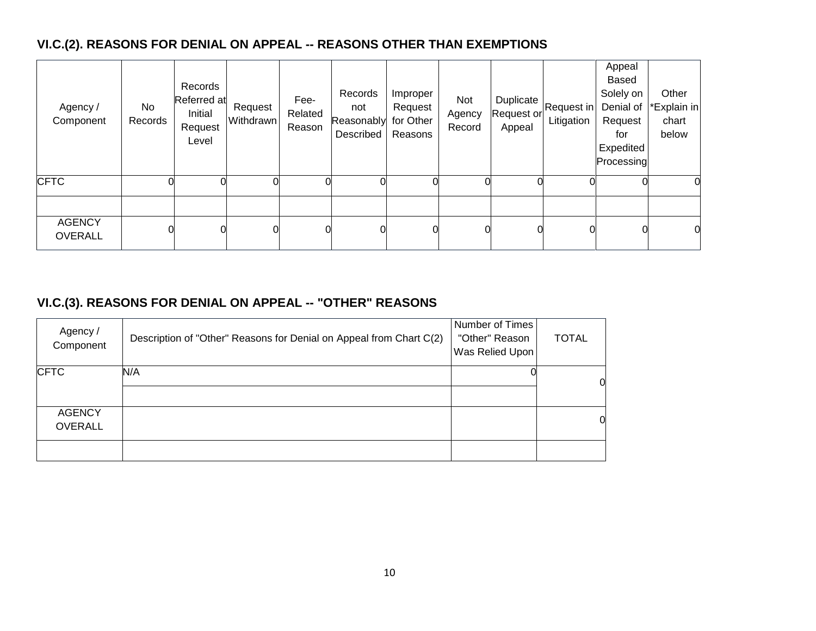# **VI.C.(2). REASONS FOR DENIAL ON APPEAL -- REASONS OTHER THAN EXEMPTIONS**

| Agency /<br>Component           | No<br>Records | Records<br>Referred at<br>Initial<br>Request<br>Level | Request<br>Withdrawn | Fee-<br>Related<br>Reason | Records<br>not<br>Reasonably for Other<br>Described | Improper<br>Request<br>Reasons | Not<br>Agency<br>Record | Duplicate<br>Request or<br>Appeal | Request in<br>Litigation | Appeal<br><b>Based</b><br>Solely on<br>Denial of<br>Request<br>for<br>Expedited<br>Processing | Other<br><b>Explain in</b><br>chart<br>below |
|---------------------------------|---------------|-------------------------------------------------------|----------------------|---------------------------|-----------------------------------------------------|--------------------------------|-------------------------|-----------------------------------|--------------------------|-----------------------------------------------------------------------------------------------|----------------------------------------------|
| <b>CFTC</b>                     |               |                                                       |                      |                           |                                                     |                                | 0                       |                                   |                          |                                                                                               | O                                            |
| <b>AGENCY</b><br><b>OVERALL</b> |               |                                                       |                      |                           |                                                     |                                | 0                       |                                   |                          |                                                                                               | 0                                            |

# **VI.C.(3). REASONS FOR DENIAL ON APPEAL -- "OTHER" REASONS**

| Agency /<br>Component           | Description of "Other" Reasons for Denial on Appeal from Chart C(2) | Number of Times<br>"Other" Reason<br>Was Relied Upon | <b>TOTAL</b>   |
|---------------------------------|---------------------------------------------------------------------|------------------------------------------------------|----------------|
| <b>CFTC</b>                     | N/A                                                                 |                                                      | $\overline{0}$ |
| <b>AGENCY</b><br><b>OVERALL</b> |                                                                     |                                                      | 0              |
|                                 |                                                                     |                                                      |                |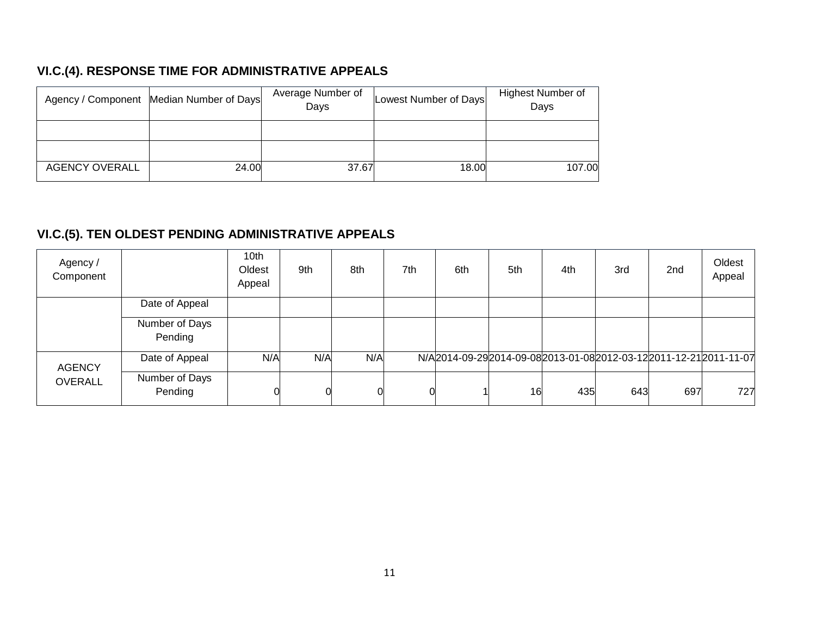# **VI.C.(4). RESPONSE TIME FOR ADMINISTRATIVE APPEALS**

|                       | Agency / Component Median Number of Days | Average Number of<br>Days | Lowest Number of Days | Highest Number of<br>Days |
|-----------------------|------------------------------------------|---------------------------|-----------------------|---------------------------|
|                       |                                          |                           |                       |                           |
|                       |                                          |                           |                       |                           |
| <b>AGENCY OVERALL</b> | 24.00                                    | 37.67                     | 18.00                 | 107.00                    |

# **VI.C.(5). TEN OLDEST PENDING ADMINISTRATIVE APPEALS**

| Agency /<br>Component |                           | 10th<br>Oldest<br>Appeal | 9th | 8th | 7th | 6th | 5th | 4th | 3rd | 2 <sub>nd</sub> | Oldest<br>Appeal                                                |
|-----------------------|---------------------------|--------------------------|-----|-----|-----|-----|-----|-----|-----|-----------------|-----------------------------------------------------------------|
|                       | Date of Appeal            |                          |     |     |     |     |     |     |     |                 |                                                                 |
|                       | Number of Days<br>Pending |                          |     |     |     |     |     |     |     |                 |                                                                 |
| <b>AGENCY</b>         | Date of Appeal            | N/A                      | N/A | N/A |     |     |     |     |     |                 | N/A2014-09-292014-09-082013-01-082012-03-122011-12-212011-11-07 |
| <b>OVERALL</b>        | Number of Days<br>Pending |                          |     |     |     |     | 16  | 435 | 643 | 697             | 727                                                             |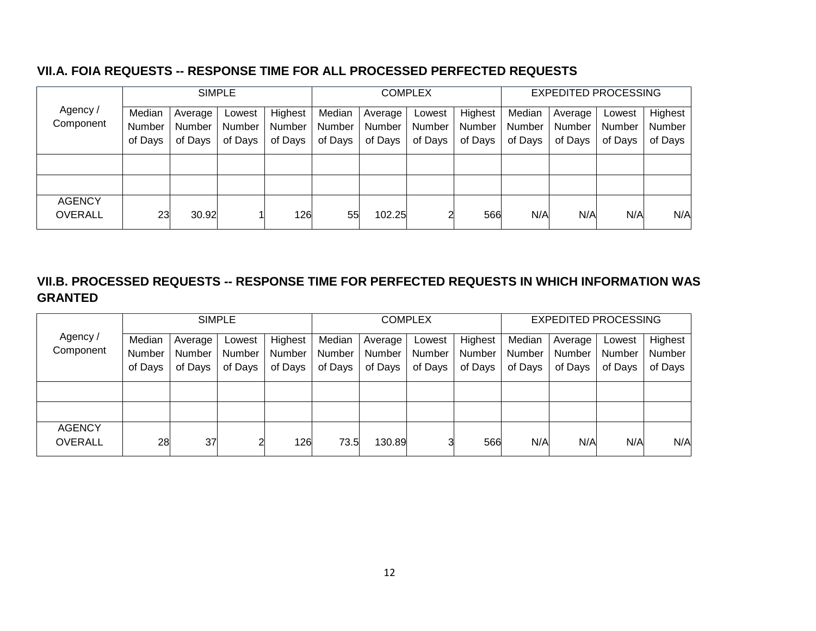## **VII.A. FOIA REQUESTS -- RESPONSE TIME FOR ALL PROCESSED PERFECTED REQUESTS**

|                |               |         | <b>SIMPLE</b> |         |         |         | <b>COMPLEX</b> |         |               | <b>EXPEDITED PROCESSING</b> |         |         |
|----------------|---------------|---------|---------------|---------|---------|---------|----------------|---------|---------------|-----------------------------|---------|---------|
| Agency /       | Median        | Average | Lowest        | Highest | Median  | Average | Lowest         | Highest | Median        | Average                     | Lowest  | Highest |
| Component      | <b>Number</b> | Number  | <b>Number</b> | Number  | Number  | Number  | Number         | Number  | <b>Number</b> | Number                      | Number  | Number  |
|                | of Days       | of Days | of Days       | of Days | of Days | of Days | of Days        | of Days | of Days       | of Days                     | of Days | of Days |
|                |               |         |               |         |         |         |                |         |               |                             |         |         |
|                |               |         |               |         |         |         |                |         |               |                             |         |         |
|                |               |         |               |         |         |         |                |         |               |                             |         |         |
| <b>AGENCY</b>  |               |         |               |         |         |         |                |         |               |                             |         |         |
| <b>OVERALL</b> | 23            | 30.92   |               | 126     | 55      | 102.25  |                | 566     | N/A           | N/A                         | N/A     | N/A     |

# **VII.B. PROCESSED REQUESTS -- RESPONSE TIME FOR PERFECTED REQUESTS IN WHICH INFORMATION WAS GRANTED**

|                | <b>SIMPLE</b> |         |         |         | <b>COMPLEX</b> |         |         |         | <b>EXPEDITED PROCESSING</b> |         |         |         |
|----------------|---------------|---------|---------|---------|----------------|---------|---------|---------|-----------------------------|---------|---------|---------|
| Agency /       | Median        | Average | Lowest  | Highest | Median         | Average | Lowest  | Highest | Median                      | Average | Lowest  | Highest |
| Component      | <b>Number</b> | Number  | Number  | Number  | Number         | Number  | Number  | Number  | <b>Number</b>               | Number  | Number  | Number  |
|                | of Days       | of Days | of Days | of Days | of Days        | of Days | of Days | of Days | of Days                     | of Days | of Days | of Days |
|                |               |         |         |         |                |         |         |         |                             |         |         |         |
|                |               |         |         |         |                |         |         |         |                             |         |         |         |
| <b>AGENCY</b>  |               |         | ⌒       |         |                |         | 2       |         |                             |         |         |         |
| <b>OVERALL</b> | 28            | 37      |         | 126     | 73.5           | 130.89  |         | 566     | N/A                         | N/A     | N/A     | N/A     |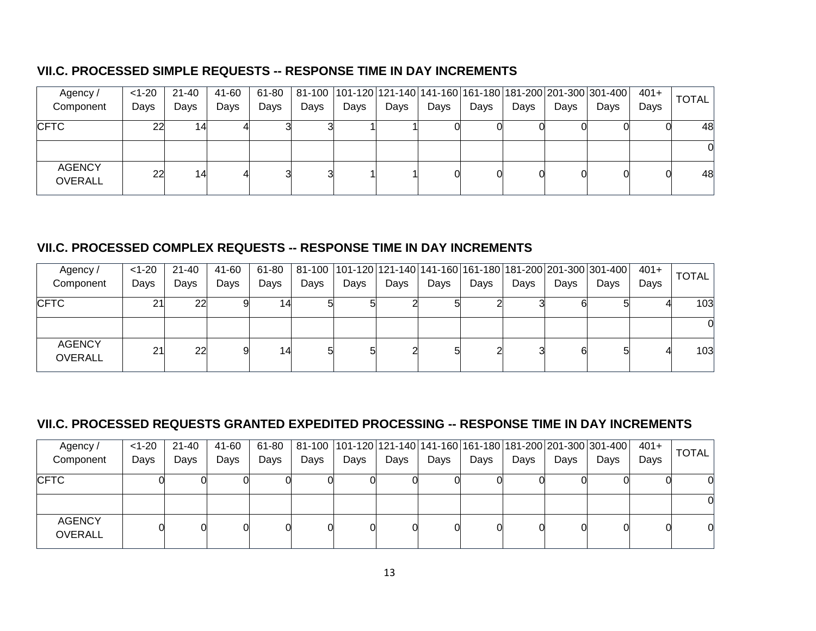# **VII.C. PROCESSED SIMPLE REQUESTS -- RESPONSE TIME IN DAY INCREMENTS**

| Agency/                         | $<$ 1-20 | 21-40 | 41-60 | 61-80 |      |      |      |      |      |      |      | 81-100   101-120   121-140   141-160   161-180   181-200   201-300   301-400 | $401+$ | <b>TOTAL</b> |
|---------------------------------|----------|-------|-------|-------|------|------|------|------|------|------|------|------------------------------------------------------------------------------|--------|--------------|
| Component                       | Days     | Days  | Days  | Days  | Days | Days | Days | Days | Days | Days | Days | Days                                                                         | Days   |              |
| <b>CFTC</b>                     | 22       | 14    |       |       |      |      |      |      |      |      |      |                                                                              |        | 48           |
|                                 |          |       |       |       |      |      |      |      |      |      |      |                                                                              |        |              |
| <b>AGENCY</b><br><b>OVERALL</b> | 22       | 14    |       |       |      |      |      |      |      |      |      |                                                                              |        | 48           |

## **VII.C. PROCESSED COMPLEX REQUESTS -- RESPONSE TIME IN DAY INCREMENTS**

| Agency /                        | $< 1 - 20$ | 21-40 | 41-60 | 61-80 |      |      |      |      |      |      |      | 81-100   101-120   121-140   141-160   161-180   181-200   201-300   301-400 | $401+$ | <b>TOTAL</b> |
|---------------------------------|------------|-------|-------|-------|------|------|------|------|------|------|------|------------------------------------------------------------------------------|--------|--------------|
| Component                       | Days       | Days  | Days  | Days  | Days | Days | Days | Days | Days | Days | Days | Days                                                                         | Days   |              |
| <b>CFTC</b>                     | 21         | 22    |       | 14    |      |      |      |      |      |      |      |                                                                              |        | 103          |
|                                 |            |       |       |       |      |      |      |      |      |      |      |                                                                              |        |              |
| <b>AGENCY</b><br><b>OVERALL</b> | 21         | 22    |       | 14    |      |      |      |      |      |      | 6    |                                                                              |        | 103          |

# **VII.C. PROCESSED REQUESTS GRANTED EXPEDITED PROCESSING -- RESPONSE TIME IN DAY INCREMENTS**

| Agency/                         | $< 1 - 20$ | 21-40 | 41-60 | 61-80 |      |      |      |      |      |      |      | 81-100  101-120  121-140   141-160   161-180   181-200   201-300   301-400 | $401+$ | <b>TOTAL</b> |
|---------------------------------|------------|-------|-------|-------|------|------|------|------|------|------|------|----------------------------------------------------------------------------|--------|--------------|
| Component                       | Days       | Days  | Days  | Days  | Days | Days | Days | Days | Days | Days | Days | Days                                                                       | Days   |              |
| <b>CFTC</b>                     |            |       |       |       |      |      |      |      |      |      |      |                                                                            |        | 0            |
|                                 |            |       |       |       |      |      |      |      |      |      |      |                                                                            |        | 0            |
| <b>AGENCY</b><br><b>OVERALL</b> |            |       |       |       |      |      |      |      |      |      |      |                                                                            |        | 0            |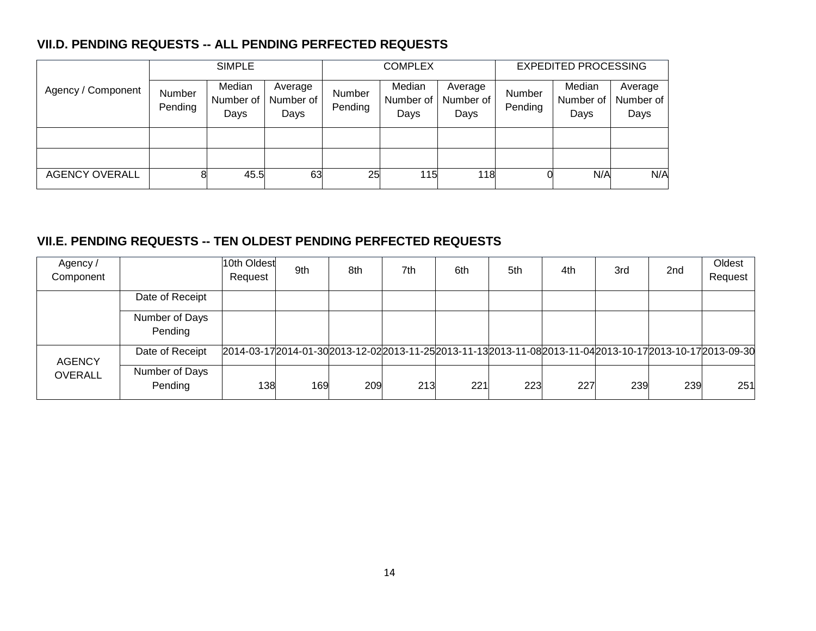# **VII.D. PENDING REQUESTS -- ALL PENDING PERFECTED REQUESTS**

|                       | <b>SIMPLE</b>     |                             |                              |                          | <b>COMPLEX</b>              |                              | <b>EXPEDITED PROCESSING</b> |                             |                              |  |
|-----------------------|-------------------|-----------------------------|------------------------------|--------------------------|-----------------------------|------------------------------|-----------------------------|-----------------------------|------------------------------|--|
| Agency / Component    | Number<br>Pending | Median<br>Number of<br>Days | Average<br>Number of<br>Days | <b>Number</b><br>Pending | Median<br>Number of<br>Days | Average<br>Number of<br>Days | Number<br>Pending           | Median<br>Number of<br>Days | Average<br>Number of<br>Days |  |
|                       |                   |                             |                              |                          |                             |                              |                             |                             |                              |  |
|                       |                   |                             |                              |                          |                             |                              |                             |                             |                              |  |
| <b>AGENCY OVERALL</b> |                   | 45.5                        | 63                           | 25                       | 115                         | 118                          |                             | N/A                         | N/A                          |  |

# **VII.E. PENDING REQUESTS -- TEN OLDEST PENDING PERFECTED REQUESTS**

| Agency /<br>Component |                           | 10th Oldest<br>Request                                                                                        | 9th | 8th | 7th | 6th | 5th | 4th | 3rd | 2 <sub>nd</sub> | Oldest<br>Request |
|-----------------------|---------------------------|---------------------------------------------------------------------------------------------------------------|-----|-----|-----|-----|-----|-----|-----|-----------------|-------------------|
|                       | Date of Receipt           |                                                                                                               |     |     |     |     |     |     |     |                 |                   |
|                       | Number of Days<br>Pending |                                                                                                               |     |     |     |     |     |     |     |                 |                   |
| <b>AGENCY</b>         | Date of Receipt           | 2014-03-17 2014-01-30 2013-12-02 2013-11-25 2013-11-13 2013-11-08 2013-11-04 2013-10-17 2013-10-17 2013-09-30 |     |     |     |     |     |     |     |                 |                   |
| <b>OVERALL</b>        | Number of Days<br>Pending | 138                                                                                                           | 169 | 209 | 213 | 221 | 223 | 227 | 239 | 239             | 251               |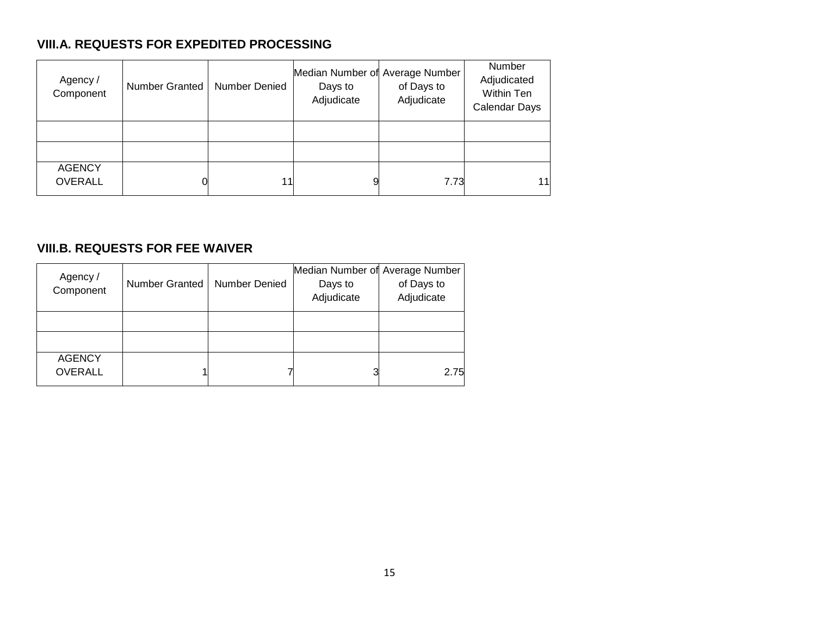# **VIII.A. REQUESTS FOR EXPEDITED PROCESSING**

| Agency /<br>Component           | Number Granted | <b>Number Denied</b> | Median Number of Average Number<br>Days to<br>Adjudicate | of Days to<br>Adjudicate | Number<br>Adjudicated<br>Within Ten<br>Calendar Days |
|---------------------------------|----------------|----------------------|----------------------------------------------------------|--------------------------|------------------------------------------------------|
|                                 |                |                      |                                                          |                          |                                                      |
|                                 |                |                      |                                                          |                          |                                                      |
| <b>AGENCY</b><br><b>OVERALL</b> | 0              | 11                   |                                                          | 7.73                     | 11                                                   |

# **VIII.B. REQUESTS FOR FEE WAIVER**

| Agency /<br>Component           | Number Granted | Number Denied | Median Number of Average Number<br>Days to<br>Adjudicate | of Days to<br>Adjudicate |
|---------------------------------|----------------|---------------|----------------------------------------------------------|--------------------------|
|                                 |                |               |                                                          |                          |
|                                 |                |               |                                                          |                          |
| <b>AGENCY</b><br><b>OVERALL</b> |                |               | 3                                                        | 2.75                     |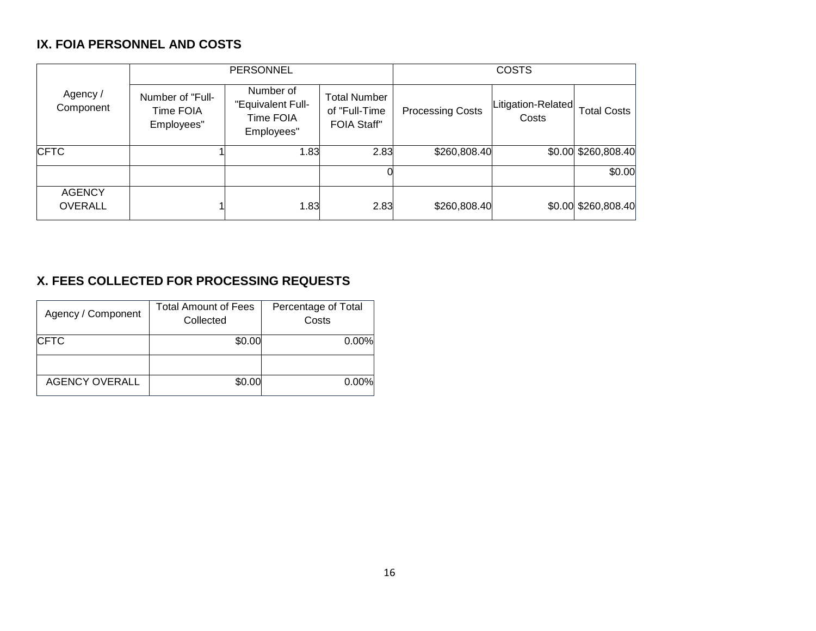# **IX. FOIA PERSONNEL AND COSTS**

|                                 |                                             | <b>PERSONNEL</b>                                          |                                                            | <b>COSTS</b>            |                             |                     |  |  |  |
|---------------------------------|---------------------------------------------|-----------------------------------------------------------|------------------------------------------------------------|-------------------------|-----------------------------|---------------------|--|--|--|
| Agency /<br>Component           | Number of "Full-<br>Time FOIA<br>Employees" | Number of<br>"Equivalent Full-<br>Time FOIA<br>Employees" | <b>Total Number</b><br>of "Full-Time<br><b>FOIA Staff"</b> | <b>Processing Costs</b> | Litigation-Related<br>Costs | <b>Total Costs</b>  |  |  |  |
| <b>CFTC</b>                     |                                             | 1.83                                                      | 2.83                                                       | \$260,808.40            |                             | \$0.00 \$260,808.40 |  |  |  |
|                                 |                                             |                                                           |                                                            |                         |                             | \$0.00              |  |  |  |
| <b>AGENCY</b><br><b>OVERALL</b> |                                             | 1.83                                                      | 2.83                                                       | \$260,808.40            |                             | \$0.00 \$260,808.40 |  |  |  |

# **X. FEES COLLECTED FOR PROCESSING REQUESTS**

| Agency / Component    | <b>Total Amount of Fees</b><br>Collected | Percentage of Total<br>Costs |
|-----------------------|------------------------------------------|------------------------------|
| <b>ICFTC</b>          | \$0.00                                   | 0.00%                        |
|                       |                                          |                              |
| <b>AGENCY OVERALL</b> | \$0.00                                   | 0.00%                        |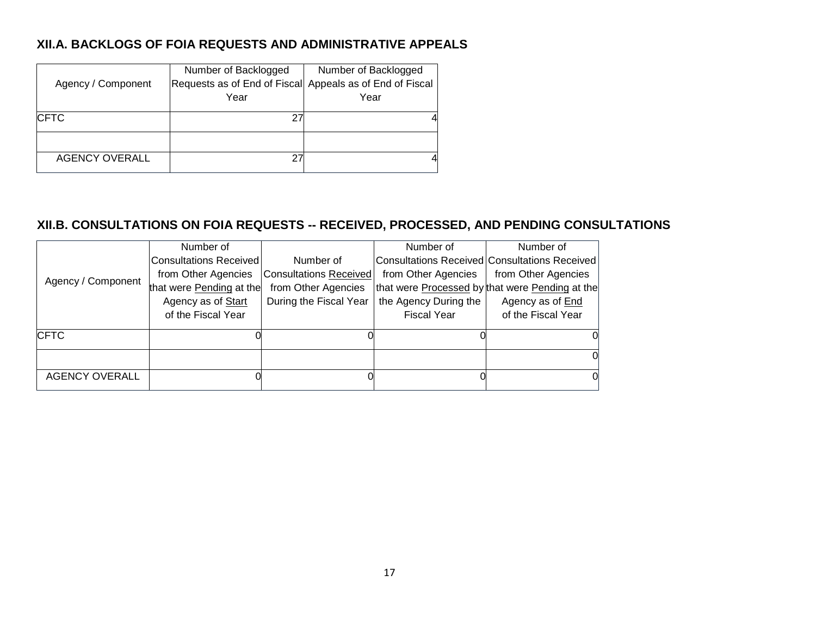# **XII.A. BACKLOGS OF FOIA REQUESTS AND ADMINISTRATIVE APPEALS**

|                       | Number of Backlogged                                     | Number of Backlogged |
|-----------------------|----------------------------------------------------------|----------------------|
| Agency / Component    | Requests as of End of Fiscal Appeals as of End of Fiscal |                      |
|                       | Year                                                     | Year                 |
| <b>ICFTC</b>          | 2                                                        |                      |
|                       |                                                          |                      |
| <b>AGENCY OVERALL</b> | ⌒                                                        |                      |

# **XII.B. CONSULTATIONS ON FOIA REQUESTS -- RECEIVED, PROCESSED, AND PENDING CONSULTATIONS**

|                       | Number of                     |                        | Number of             | Number of                                       |
|-----------------------|-------------------------------|------------------------|-----------------------|-------------------------------------------------|
|                       | <b>Consultations Received</b> | Number of              |                       | Consultations Received Consultations Received   |
|                       | from Other Agencies           | Consultations Received | from Other Agencies   | from Other Agencies                             |
| Agency / Component    | that were Pending at the      | from Other Agencies    |                       | that were Processed by that were Pending at the |
|                       | Agency as of Start            | During the Fiscal Year | the Agency During the | Agency as of <b>End</b>                         |
|                       | of the Fiscal Year            |                        | <b>Fiscal Year</b>    | of the Fiscal Year                              |
| <b>CFTC</b>           |                               |                        |                       | OI.                                             |
|                       |                               |                        |                       | 0l                                              |
| <b>AGENCY OVERALL</b> |                               |                        |                       | 0                                               |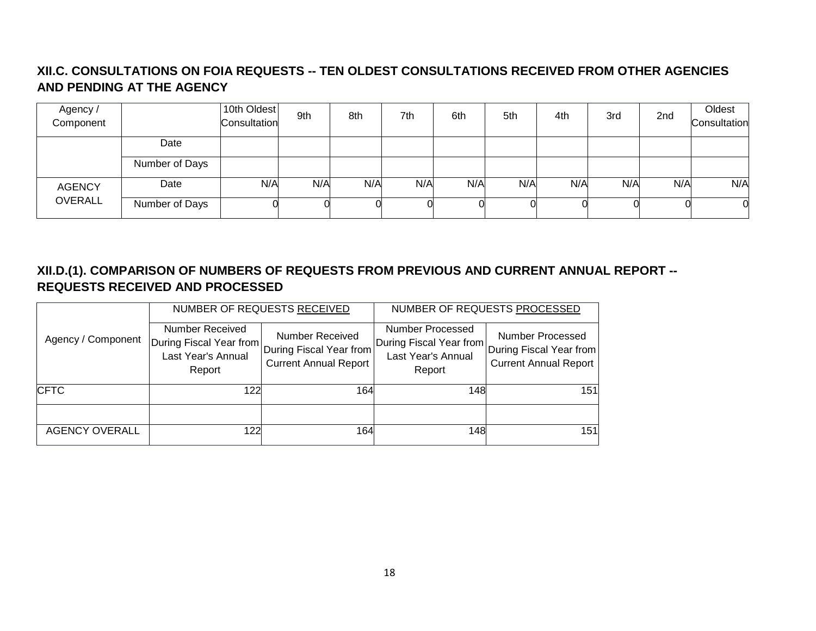# **XII.C. CONSULTATIONS ON FOIA REQUESTS -- TEN OLDEST CONSULTATIONS RECEIVED FROM OTHER AGENCIES AND PENDING AT THE AGENCY**

| Agency /<br>Component |                | 10th Oldest<br>Consultation | 9th | 8th | 7th | 6th | 5th | 4th | 3rd | 2nd | Oldest<br>Consultation |
|-----------------------|----------------|-----------------------------|-----|-----|-----|-----|-----|-----|-----|-----|------------------------|
|                       | Date           |                             |     |     |     |     |     |     |     |     |                        |
|                       | Number of Days |                             |     |     |     |     |     |     |     |     |                        |
| <b>AGENCY</b>         | Date           | N/A                         | N/A | N/A | N/A | N/A | N/A | N/A | N/A | N/A | N/A                    |
| <b>OVERALL</b>        | Number of Days |                             |     |     |     |     |     |     |     |     | $\Omega$               |

# **XII.D.(1). COMPARISON OF NUMBERS OF REQUESTS FROM PREVIOUS AND CURRENT ANNUAL REPORT -- REQUESTS RECEIVED AND PROCESSED**

|                       |                                                                                                      | NUMBER OF REQUESTS RECEIVED                            | NUMBER OF REQUESTS PROCESSED                                                |                                                                             |  |
|-----------------------|------------------------------------------------------------------------------------------------------|--------------------------------------------------------|-----------------------------------------------------------------------------|-----------------------------------------------------------------------------|--|
| Agency / Component    | Number Received<br> During Fiscal Year from  During Fiscal Year from<br>Last Year's Annual<br>Report | <b>Number Received</b><br><b>Current Annual Report</b> | Number Processed<br>During Fiscal Year from<br>Last Year's Annual<br>Report | Number Processed<br>During Fiscal Year from<br><b>Current Annual Report</b> |  |
| <b>CFTC</b>           | 122                                                                                                  | 164                                                    | 148                                                                         | 151                                                                         |  |
|                       |                                                                                                      |                                                        |                                                                             |                                                                             |  |
| <b>AGENCY OVERALL</b> | 122                                                                                                  | 164                                                    | 148                                                                         | 151                                                                         |  |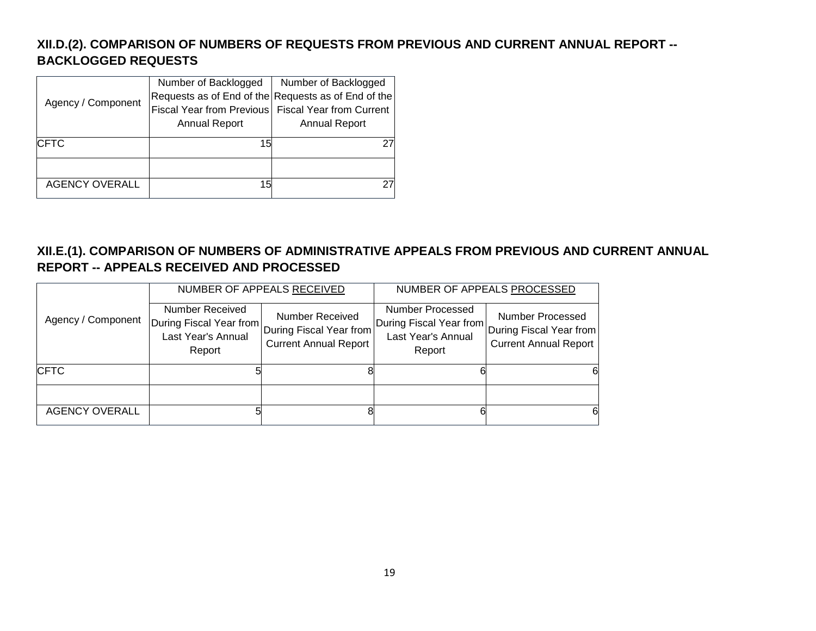# **XII.D.(2). COMPARISON OF NUMBERS OF REQUESTS FROM PREVIOUS AND CURRENT ANNUAL REPORT -- BACKLOGGED REQUESTS**

|                       | Number of Backlogged                                 | Number of Backlogged                                |  |  |
|-----------------------|------------------------------------------------------|-----------------------------------------------------|--|--|
| Agency / Component    |                                                      | Requests as of End of the Requests as of End of the |  |  |
|                       | Fiscal Year from Previous   Fiscal Year from Current |                                                     |  |  |
|                       | <b>Annual Report</b>                                 | <b>Annual Report</b>                                |  |  |
|                       |                                                      |                                                     |  |  |
| <b>CFTC</b>           | 15                                                   |                                                     |  |  |
|                       |                                                      |                                                     |  |  |
|                       |                                                      |                                                     |  |  |
| <b>AGENCY OVERALL</b> | 15                                                   |                                                     |  |  |
|                       |                                                      |                                                     |  |  |

# **XII.E.(1). COMPARISON OF NUMBERS OF ADMINISTRATIVE APPEALS FROM PREVIOUS AND CURRENT ANNUAL REPORT -- APPEALS RECEIVED AND PROCESSED**

|                       |                                                                                                        | NUMBER OF APPEALS RECEIVED                             | NUMBER OF APPEALS PROCESSED                                                 |                                                                             |  |
|-----------------------|--------------------------------------------------------------------------------------------------------|--------------------------------------------------------|-----------------------------------------------------------------------------|-----------------------------------------------------------------------------|--|
| Agency / Component    | Number Received<br> During Fiscal Year from  During Fiscal Year from  <br>Last Year's Annual<br>Report | <b>Number Received</b><br><b>Current Annual Report</b> | Number Processed<br>During Fiscal Year from<br>Last Year's Annual<br>Report | Number Processed<br>During Fiscal Year from<br><b>Current Annual Report</b> |  |
| <b>CFTC</b>           |                                                                                                        |                                                        |                                                                             | 6                                                                           |  |
|                       |                                                                                                        |                                                        |                                                                             |                                                                             |  |
| <b>AGENCY OVERALL</b> |                                                                                                        |                                                        |                                                                             | 6                                                                           |  |